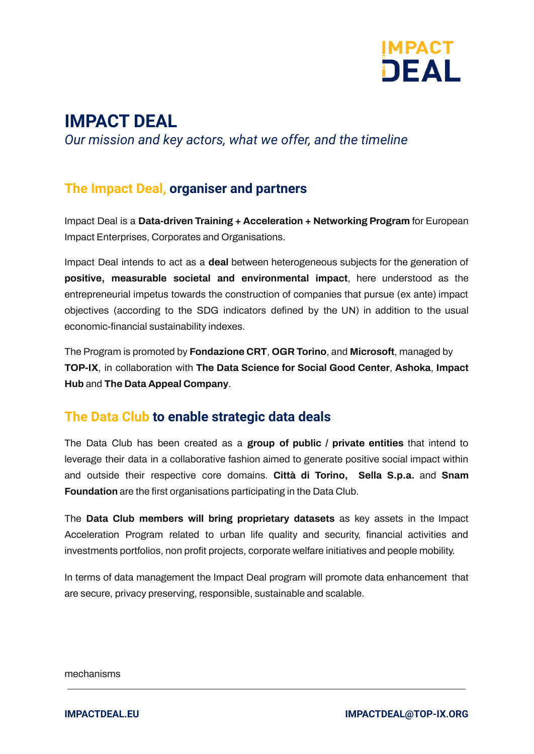

# **IMPACT DEAL**

*Our mission and key actors, what we offer, and the timeline*

## **The Impact Deal, organiser and partners**

Impact Deal is a **Data-driven Training + Acceleration + Networking Program** for European Impact Enterprises, Corporates and Organisations.

Impact Deal intends to act as a **deal** between heterogeneous subjects for the generation of **positive, measurable societal and environmental impact**, here understood as the entrepreneurial impetus towards the construction of companies that pursue (ex ante) impact objectives (according to the SDG indicators defined by the UN) in addition to the usual economic-financial sustainability indexes.

The Program is promoted by **Fondazione CRT**, **OGR Torino**, and **Microsoft**, managed by **TOP-IX**, in collaboration with **The Data Science for Social Good Center**, **Ashoka**, **Impact Hub** and **The Data Appeal Company**.

## **The Data Club to enable strategic data deals**

The Data Club has been created as a **group of public / private entities** that intend to leverage their data in a collaborative fashion aimed to generate positive social impact within and outside their respective core domains. **Città di Torino, Sella S.p.a.** and **Snam Foundation** are the first organisations participating in the Data Club.

The **Data Club members will bring proprietary datasets** as key assets in the Impact Acceleration Program related to urban life quality and security, financial activities and investments portfolios, non profit projects, corporate welfare initiatives and people mobility.

In terms of data management the Impact Deal program will promote data enhancement that are secure, privacy preserving, responsible, sustainable and scalable.

mechanisms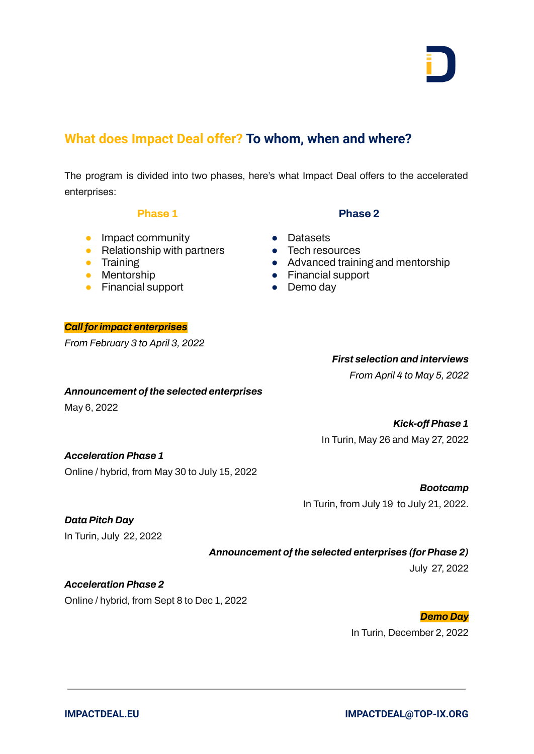## **What does Impact Deal offer? To whom, when and where?**

The program is divided into two phases, here's what Impact Deal offers to the accelerated enterprises:

#### **Phase 1**

- **•** Impact community
- $\bullet$  Relationship with partners
- Training
- Mentorship
- Financial support
- Datasets
- Tech resources
- Advanced training and mentorship

**Phase 2**

- Financial support
- Demo dav

## $From *Fehru*$

## *From April 4 to May 5, 2022*

#### *Announcement of the selected enterprises*

May 6, 2022

#### *Kick-off Phase 1*

In Turin, May 26 and May 27, 2022

*First selection and interviews*

#### *Acceleration Phase 1*

Online / hybrid, from May 30 to July 15, 2022

#### *Bootcamp*

In Turin, from July 19 to July 21, 2022.

#### *Data Pitch Day*

In Turin, July 22, 2022

#### *Announcement of the selected enterprises (for Phase 2)*

July 27, 2022

### *Acceleration Phase 2*

Online / hybrid, from Sept 8 to Dec 1, 2022

#### *Demo Day*

In Turin, December 2, 2022

| IJ | _ | __ | _ |  |
|----|---|----|---|--|
|    |   |    |   |  |
|    |   |    |   |  |
|    |   |    |   |  |
|    |   |    |   |  |
|    |   |    |   |  |
|    |   |    |   |  |
|    |   |    |   |  |
|    |   |    |   |  |
|    |   |    |   |  |
|    |   |    |   |  |

| <b>Call for impact enterprises</b> |  |
|------------------------------------|--|
| From February 3 to April 3, 2022   |  |
|                                    |  |